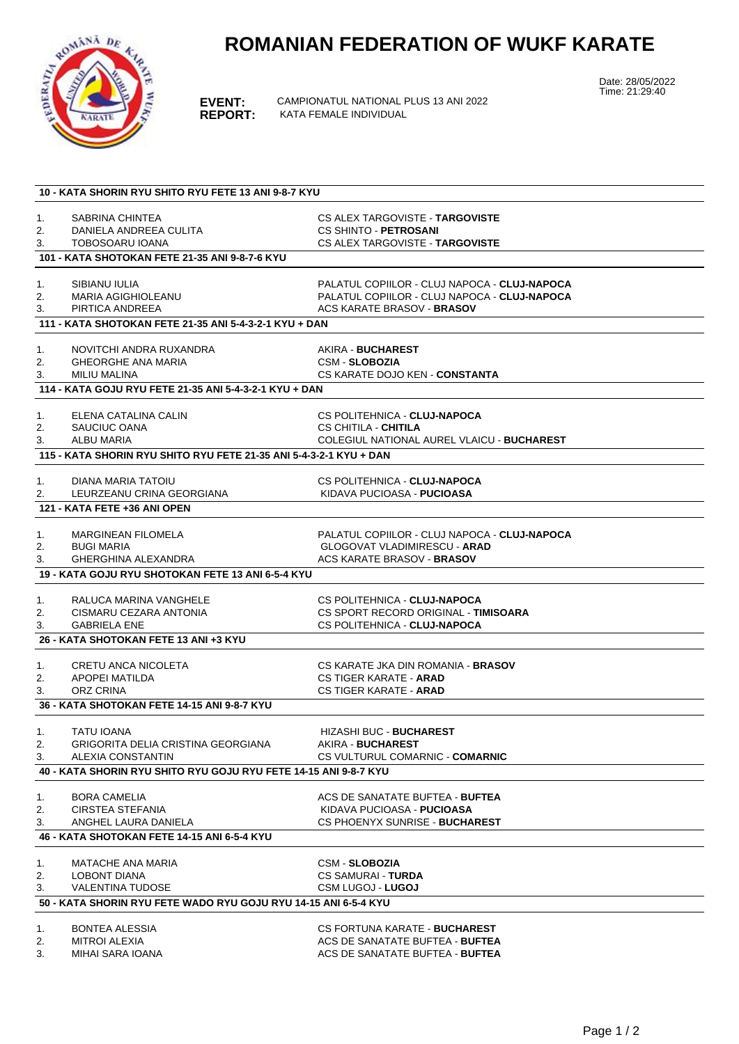## **ROMANIAN FEDERATION OF WUKF KARATE**



**EVENT:** CAMPIONATUL NATIONAL PLUS 13 ANI 2022 **KATA FEMALE INDIVIDUAL** 

Date: 28/05/2022 Time: 21:29:40

| 10 - KATA SHORIN RYU SHITO RYU FETE 13 ANI 9-8-7 KYU               |                                                        |                                                                           |  |  |
|--------------------------------------------------------------------|--------------------------------------------------------|---------------------------------------------------------------------------|--|--|
|                                                                    |                                                        |                                                                           |  |  |
| 1.                                                                 | SABRINA CHINTEA                                        | CS ALEX TARGOVISTE - TARGOVISTE                                           |  |  |
| 2.                                                                 | DANIELA ANDREEA CULITA                                 | <b>CS SHINTO - PETROSANI</b>                                              |  |  |
| 3.                                                                 | TOBOSOARU IOANA                                        | CS ALEX TARGOVISTE - TARGOVISTE                                           |  |  |
| 101 - KATA SHOTOKAN FETE 21-35 ANI 9-8-7-6 KYU                     |                                                        |                                                                           |  |  |
| 1.                                                                 | SIBIANU IULIA                                          | PALATUL COPIILOR - CLUJ NAPOCA - CLUJ-NAPOCA                              |  |  |
| 2.                                                                 | MARIA AGIGHIOLEANU                                     | PALATUL COPIILOR - CLUJ NAPOCA - CLUJ-NAPOCA                              |  |  |
| 3.                                                                 | PIRTICA ANDREEA                                        | <b>ACS KARATE BRASOV - BRASOV</b>                                         |  |  |
|                                                                    | 111 - KATA SHOTOKAN FETE 21-35 ANI 5-4-3-2-1 KYU + DAN |                                                                           |  |  |
|                                                                    |                                                        |                                                                           |  |  |
| 1.                                                                 | NOVITCHI ANDRA RUXANDRA                                | AKIRA - BUCHAREST                                                         |  |  |
| 2.                                                                 | <b>GHEORGHE ANA MARIA</b>                              | <b>CSM - SLOBOZIA</b>                                                     |  |  |
| 3.                                                                 | MILIU MALINA                                           | CS KARATE DOJO KEN - CONSTANTA                                            |  |  |
| 114 - KATA GOJU RYU FETE 21-35 ANI 5-4-3-2-1 KYU + DAN             |                                                        |                                                                           |  |  |
|                                                                    |                                                        |                                                                           |  |  |
| 1.                                                                 | ELENA CATALINA CALIN                                   | CS POLITEHNICA - CLUJ-NAPOCA                                              |  |  |
| 2.                                                                 | SAUCIUC OANA<br>ALBU MARIA                             | CS CHITILA - CHITILA<br><b>COLEGIUL NATIONAL AUREL VLAICU - BUCHAREST</b> |  |  |
| 3.                                                                 |                                                        |                                                                           |  |  |
| 115 - KATA SHORIN RYU SHITO RYU FETE 21-35 ANI 5-4-3-2-1 KYU + DAN |                                                        |                                                                           |  |  |
| 1.                                                                 | DIANA MARIA TATOIU                                     | CS POLITEHNICA - CLUJ-NAPOCA                                              |  |  |
| 2.                                                                 | LEURZEANU CRINA GEORGIANA                              | KIDAVA PUCIOASA - <b>PUCIOASA</b>                                         |  |  |
|                                                                    | 121 - KATA FETE +36 ANI OPEN                           |                                                                           |  |  |
|                                                                    |                                                        |                                                                           |  |  |
| 1.                                                                 | <b>MARGINEAN FILOMELA</b>                              | PALATUL COPIILOR - CLUJ NAPOCA - CLUJ-NAPOCA                              |  |  |
| 2.                                                                 | <b>BUGI MARIA</b>                                      | <b>GLOGOVAT VLADIMIRESCU - ARAD</b>                                       |  |  |
| 3.                                                                 | <b>GHERGHINA ALEXANDRA</b>                             | <b>ACS KARATE BRASOV - BRASOV</b>                                         |  |  |
| 19 - KATA GOJU RYU SHOTOKAN FETE 13 ANI 6-5-4 KYU                  |                                                        |                                                                           |  |  |
|                                                                    |                                                        |                                                                           |  |  |
| 1.<br>2.                                                           | RALUCA MARINA VANGHELE<br>CISMARU CEZARA ANTONIA       | CS POLITEHNICA - CLUJ-NAPOCA<br>CS SPORT RECORD ORIGINAL - TIMISOARA      |  |  |
| 3.                                                                 | <b>GABRIELA ENE</b>                                    | CS POLITEHNICA - CLUJ-NAPOCA                                              |  |  |
|                                                                    |                                                        |                                                                           |  |  |
| 26 - KATA SHOTOKAN FETE 13 ANI +3 KYU                              |                                                        |                                                                           |  |  |
| 1.                                                                 | CRETU ANCA NICOLETA                                    | CS KARATE JKA DIN ROMANIA - BRASOV                                        |  |  |
| 2.                                                                 | APOPEI MATILDA                                         | <b>CS TIGER KARATE - ARAD</b>                                             |  |  |
| 3.                                                                 | ORZ CRINA                                              | <b>CS TIGER KARATE - ARAD</b>                                             |  |  |
|                                                                    | 36 - KATA SHOTOKAN FETE 14-15 ANI 9-8-7 KYU            |                                                                           |  |  |
|                                                                    |                                                        |                                                                           |  |  |
| 1.                                                                 | <b>TATU IOANA</b>                                      | <b>HIZASHI BUC - BUCHAREST</b>                                            |  |  |
| 2.                                                                 | GRIGORITA DELIA CRISTINA GEORGIANA                     | AKIRA - BUCHAREST                                                         |  |  |
| 3.                                                                 | ALEXIA CONSTANTIN                                      | CS VULTURUL COMARNIC - COMARNIC                                           |  |  |
| 40 - KATA SHORIN RYU SHITO RYU GOJU RYU FETE 14-15 ANI 9-8-7 KYU   |                                                        |                                                                           |  |  |
| 1.                                                                 | <b>BORA CAMELIA</b>                                    | ACS DE SANATATE BUFTEA - BUFTEA                                           |  |  |
| 2.                                                                 | <b>CIRSTEA STEFANIA</b>                                | KIDAVA PUCIOASA - <b>PUCIOASA</b>                                         |  |  |
| 3.                                                                 | ANGHEL LAURA DANIELA                                   | CS PHOENYX SUNRISE - BUCHAREST                                            |  |  |
| 46 - KATA SHOTOKAN FETE 14-15 ANI 6-5-4 KYU                        |                                                        |                                                                           |  |  |
|                                                                    |                                                        |                                                                           |  |  |
| 1.                                                                 | <b>MATACHE ANA MARIA</b><br>LOBONT DIANA               | <b>CSM - SLOBOZIA</b>                                                     |  |  |
| 2.<br>3.                                                           | <b>VALENTINA TUDOSE</b>                                | <b>CS SAMURAI - TURDA</b><br><b>CSM LUGOJ - LUGOJ</b>                     |  |  |
|                                                                    |                                                        |                                                                           |  |  |
| 50 - KATA SHORIN RYU FETE WADO RYU GOJU RYU 14-15 ANI 6-5-4 KYU    |                                                        |                                                                           |  |  |
| 1.                                                                 | <b>BONTEA ALESSIA</b>                                  | CS FORTUNA KARATE - BUCHAREST                                             |  |  |
| 2.                                                                 | MITROI ALEXIA                                          | ACS DE SANATATE BUFTEA - BUFTEA                                           |  |  |
| 3.                                                                 | MIHAI SARA IOANA                                       | ACS DE SANATATE BUFTEA - BUFTEA                                           |  |  |